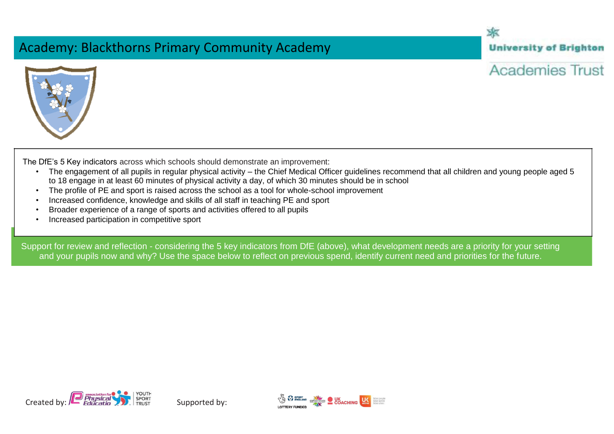## Academy: Blackthorns Primary Community Academy

木 **University of Brighton** 



**Academies Trust** 

The DfE's 5 Key indicators across which schools should demonstrate an improvement:

- The engagement of all pupils in regular physical activity the Chief Medical Officer guidelines recommend that all children and young people aged 5 to 18 engage in at least 60 minutes of physical activity a day, of which 30 minutes should be in school
- The profile of PE and sport is raised across the school as a tool for whole-school improvement
- Increased confidence, knowledge and skills of all staff in teaching PE and sport
- Broader experience of a range of sports and activities offered to all pupils
- Increased participation in competitive sport

Support for review and reflection - considering the 5 key indicators from DfE (above), what development needs are a priority for your setting and your pupils now and why? Use the space below to reflect on previous spend, identify current need and priorities for the future.



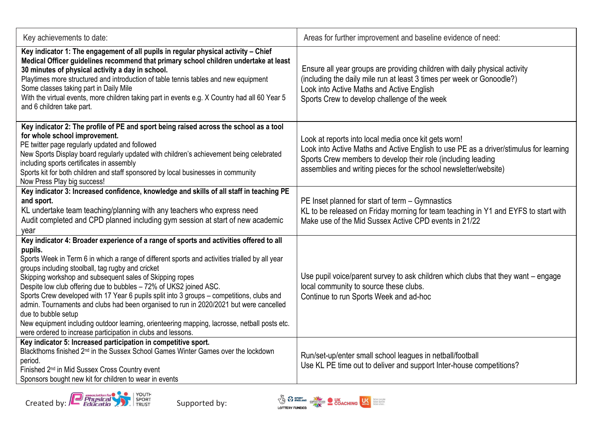| Key achievements to date:                                                                                                                                                                                                                                                                                                                                                                                                                                                                                                                                                                                                                                                                                                                                                | Areas for further improvement and baseline evidence of need:                                                                                                                                                                                                                      |
|--------------------------------------------------------------------------------------------------------------------------------------------------------------------------------------------------------------------------------------------------------------------------------------------------------------------------------------------------------------------------------------------------------------------------------------------------------------------------------------------------------------------------------------------------------------------------------------------------------------------------------------------------------------------------------------------------------------------------------------------------------------------------|-----------------------------------------------------------------------------------------------------------------------------------------------------------------------------------------------------------------------------------------------------------------------------------|
| Key indicator 1: The engagement of all pupils in regular physical activity - Chief<br>Medical Officer guidelines recommend that primary school children undertake at least<br>30 minutes of physical activity a day in school.<br>Playtimes more structured and introduction of table tennis tables and new equipment<br>Some classes taking part in Daily Mile<br>With the virtual events, more children taking part in events e.g. X Country had all 60 Year 5<br>and 6 children take part.                                                                                                                                                                                                                                                                            | Ensure all year groups are providing children with daily physical activity<br>(including the daily mile run at least 3 times per week or Gonoodle?)<br>Look into Active Maths and Active English<br>Sports Crew to develop challenge of the week                                  |
| Key indicator 2: The profile of PE and sport being raised across the school as a tool<br>for whole school improvement.<br>PE twitter page regularly updated and followed<br>New Sports Display board regularly updated with children's achievement being celebrated<br>including sports certificates in assembly<br>Sports kit for both children and staff sponsored by local businesses in community<br>Now Press Play big success!                                                                                                                                                                                                                                                                                                                                     | Look at reports into local media once kit gets worn!<br>Look into Active Maths and Active English to use PE as a driver/stimulus for learning<br>Sports Crew members to develop their role (including leading<br>assemblies and writing pieces for the school newsletter/website) |
| Key indicator 3: Increased confidence, knowledge and skills of all staff in teaching PE<br>and sport.<br>KL undertake team teaching/planning with any teachers who express need<br>Audit completed and CPD planned including gym session at start of new academic<br>year                                                                                                                                                                                                                                                                                                                                                                                                                                                                                                | PE Inset planned for start of term - Gymnastics<br>KL to be released on Friday morning for team teaching in Y1 and EYFS to start with<br>Make use of the Mid Sussex Active CPD events in 21/22                                                                                    |
| Key indicator 4: Broader experience of a range of sports and activities offered to all<br>pupils.<br>Sports Week in Term 6 in which a range of different sports and activities trialled by all year<br>groups including stoolball, tag rugby and cricket<br>Skipping workshop and subsequent sales of Skipping ropes<br>Despite low club offering due to bubbles - 72% of UKS2 joined ASC.<br>Sports Crew developed with 17 Year 6 pupils split into 3 groups - competitions, clubs and<br>admin. Tournaments and clubs had been organised to run in 2020/2021 but were cancelled<br>due to bubble setup<br>New equipment including outdoor learning, orienteering mapping, lacrosse, netball posts etc.<br>were ordered to increase participation in clubs and lessons. | Use pupil voice/parent survey to ask children which clubs that they want - engage<br>local community to source these clubs.<br>Continue to run Sports Week and ad-hoc                                                                                                             |
| Key indicator 5: Increased participation in competitive sport.<br>Blackthorns finished 2 <sup>nd</sup> in the Sussex School Games Winter Games over the lockdown<br>period.<br>Finished 2 <sup>nd</sup> in Mid Sussex Cross Country event<br>Sponsors bought new kit for children to wear in events                                                                                                                                                                                                                                                                                                                                                                                                                                                                      | Run/set-up/enter small school leagues in netball/football<br>Use KL PE time out to deliver and support Inter-house competitions?                                                                                                                                                  |



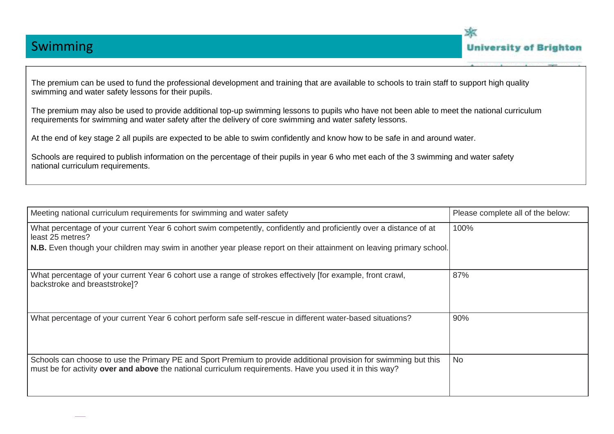



The premium can be used to fund the professional development and training that are available to schools to train staff to support high quality swimming and water safety lessons for their pupils.

The premium may also be used to provide additional top-up swimming lessons to pupils who have not been able to meet the national curriculum requirements for swimming and water safety after the delivery of core swimming and water safety lessons.

At the end of key stage 2 all pupils are expected to be able to swim confidently and know how to be safe in and around water.

Schools are required to publish information on the percentage of their pupils in year 6 who met each of the 3 swimming and water safety national curriculum requirements.

| Meeting national curriculum requirements for swimming and water safety                                                                                                                                                      | Please complete all of the below: |
|-----------------------------------------------------------------------------------------------------------------------------------------------------------------------------------------------------------------------------|-----------------------------------|
| What percentage of your current Year 6 cohort swim competently, confidently and proficiently over a distance of at<br>least 25 metres?                                                                                      | 100%                              |
| N.B. Even though your children may swim in another year please report on their attainment on leaving primary school.                                                                                                        |                                   |
| What percentage of your current Year 6 cohort use a range of strokes effectively [for example, front crawl,<br>backstroke and breaststroke]?                                                                                | 87%                               |
| What percentage of your current Year 6 cohort perform safe self-rescue in different water-based situations?                                                                                                                 | 90%                               |
| Schools can choose to use the Primary PE and Sport Premium to provide additional provision for swimming but this<br>must be for activity over and above the national curriculum requirements. Have you used it in this way? | <b>No</b>                         |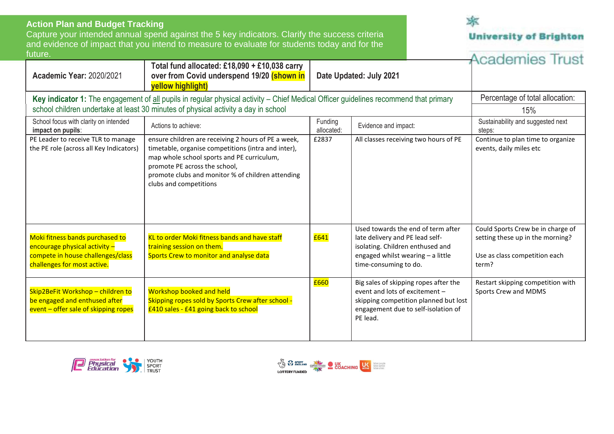| <b>Action Plan and Budget Tracking</b>                                                                                               |                                                                                                                                                                                                                                                                          |                         |                                                                                                                                                                         |                                                                                                                 |
|--------------------------------------------------------------------------------------------------------------------------------------|--------------------------------------------------------------------------------------------------------------------------------------------------------------------------------------------------------------------------------------------------------------------------|-------------------------|-------------------------------------------------------------------------------------------------------------------------------------------------------------------------|-----------------------------------------------------------------------------------------------------------------|
|                                                                                                                                      | Capture your intended annual spend against the 5 key indicators. Clarify the success criteria                                                                                                                                                                            |                         |                                                                                                                                                                         | <b>University of Brighton</b>                                                                                   |
|                                                                                                                                      | and evidence of impact that you intend to measure to evaluate for students today and for the                                                                                                                                                                             |                         |                                                                                                                                                                         |                                                                                                                 |
| future.<br><b>Academic Year: 2020/2021</b>                                                                                           | Total fund allocated: £18,090 + £10,038 carry<br>over from Covid underspend 19/20 (shown in<br>yellow highlight)                                                                                                                                                         | Date Updated: July 2021 |                                                                                                                                                                         | <b>Academies Trust</b>                                                                                          |
| Key indicator 1: The engagement of all pupils in regular physical activity – Chief Medical Officer guidelines recommend that primary |                                                                                                                                                                                                                                                                          |                         | Percentage of total allocation:                                                                                                                                         |                                                                                                                 |
|                                                                                                                                      | school children undertake at least 30 minutes of physical activity a day in school                                                                                                                                                                                       |                         |                                                                                                                                                                         | 15%                                                                                                             |
| School focus with clarity on intended<br>impact on pupils:                                                                           | Actions to achieve:                                                                                                                                                                                                                                                      | Funding<br>allocated:   | Evidence and impact:                                                                                                                                                    | Sustainability and suggested next<br>steps:                                                                     |
| PE Leader to receive TLR to manage<br>the PE role (across all Key Indicators)                                                        | ensure children are receiving 2 hours of PE a week,<br>timetable, organise competitions (intra and inter),<br>map whole school sports and PE curriculum,<br>promote PE across the school,<br>promote clubs and monitor % of children attending<br>clubs and competitions | £2837                   | All classes receiving two hours of PE                                                                                                                                   | Continue to plan time to organize<br>events, daily miles etc                                                    |
| Moki fitness bands purchased to<br>encourage physical activity -<br>compete in house challenges/class<br>challenges for most active. | KL to order Moki fitness bands and have staff<br>training session on them.<br>Sports Crew to monitor and analyse data                                                                                                                                                    | £641                    | Used towards the end of term after<br>late delivery and PE lead self-<br>isolating. Children enthused and<br>engaged whilst wearing - a little<br>time-consuming to do. | Could Sports Crew be in charge of<br>setting these up in the morning?<br>Use as class competition each<br>term? |
| Skip2BeFit Workshop - children to<br>be engaged and enthused after<br>event - offer sale of skipping ropes                           | <b>Workshop booked and held</b><br>Skipping ropes sold by Sports Crew after school -<br>£410 sales - £41 going back to school                                                                                                                                            | £660                    | Big sales of skipping ropes after the<br>event and lots of excitement -<br>skipping competition planned but lost<br>engagement due to self-isolation of<br>PE lead.     | Restart skipping competition with<br>Sports Crew and MDMS                                                       |

本



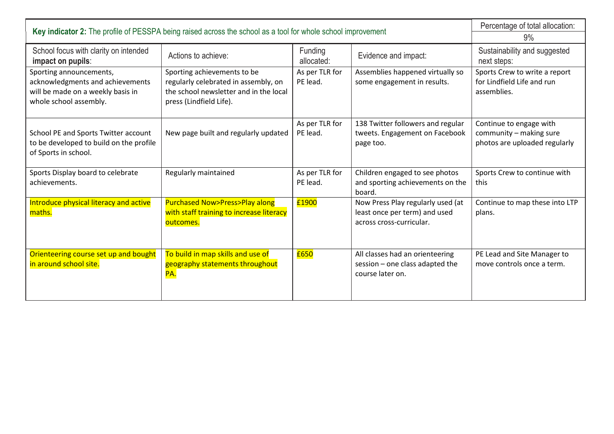| Key indicator 2: The profile of PESSPA being raised across the school as a tool for whole school improvement               |                                                                                                                                          |                            |                                                                                                | Percentage of total allocation:                                                     |
|----------------------------------------------------------------------------------------------------------------------------|------------------------------------------------------------------------------------------------------------------------------------------|----------------------------|------------------------------------------------------------------------------------------------|-------------------------------------------------------------------------------------|
|                                                                                                                            |                                                                                                                                          |                            |                                                                                                | $9\%$                                                                               |
| School focus with clarity on intended<br>impact on pupils:                                                                 | Actions to achieve:                                                                                                                      | Funding<br>allocated:      | Evidence and impact:                                                                           | Sustainability and suggested<br>next steps:                                         |
| Sporting announcements,<br>acknowledgments and achievements<br>will be made on a weekly basis in<br>whole school assembly. | Sporting achievements to be<br>regularly celebrated in assembly, on<br>the school newsletter and in the local<br>press (Lindfield Life). | As per TLR for<br>PE lead. | Assemblies happened virtually so<br>some engagement in results.                                | Sports Crew to write a report<br>for Lindfield Life and run<br>assemblies.          |
| School PE and Sports Twitter account<br>to be developed to build on the profile<br>of Sports in school.                    | New page built and regularly updated                                                                                                     | As per TLR for<br>PE lead. | 138 Twitter followers and regular<br>tweets. Engagement on Facebook<br>page too.               | Continue to engage with<br>community - making sure<br>photos are uploaded regularly |
| Sports Display board to celebrate<br>achievements.                                                                         | Regularly maintained                                                                                                                     | As per TLR for<br>PE lead. | Children engaged to see photos<br>and sporting achievements on the<br>board.                   | Sports Crew to continue with<br>this                                                |
| Introduce physical literacy and active<br>maths.                                                                           | <b>Purchased Now&gt;Press&gt;Play along</b><br>with staff training to increase literacy<br>outcomes.                                     | £1900                      | Now Press Play regularly used (at<br>least once per term) and used<br>across cross-curricular. | Continue to map these into LTP<br>plans.                                            |
| Orienteering course set up and bought<br>in around school site.                                                            | To build in map skills and use of<br>geography statements throughout<br>PA.                                                              | £650                       | All classes had an orienteering<br>session - one class adapted the<br>course later on.         | PE Lead and Site Manager to<br>move controls once a term.                           |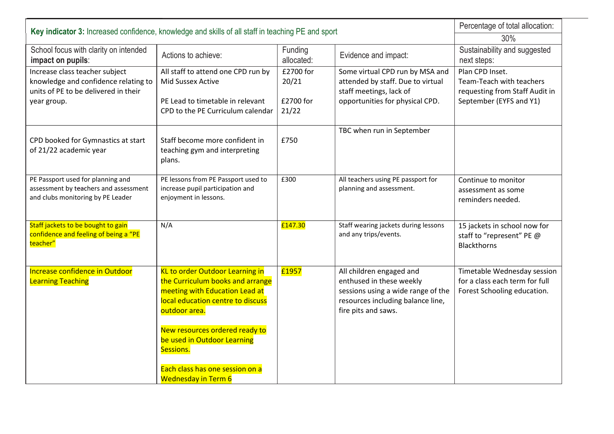| Key indicator 3: Increased confidence, knowledge and skills of all staff in teaching PE and sport               |                                                                                                                                                             |                       |                                                                                                                                                        | Percentage of total allocation:                                                              |
|-----------------------------------------------------------------------------------------------------------------|-------------------------------------------------------------------------------------------------------------------------------------------------------------|-----------------------|--------------------------------------------------------------------------------------------------------------------------------------------------------|----------------------------------------------------------------------------------------------|
|                                                                                                                 | 30%                                                                                                                                                         |                       |                                                                                                                                                        |                                                                                              |
| School focus with clarity on intended<br>impact on pupils:                                                      | Actions to achieve:                                                                                                                                         | Funding<br>allocated: | Evidence and impact:                                                                                                                                   | Sustainability and suggested<br>next steps:                                                  |
| Increase class teacher subject<br>knowledge and confidence relating to                                          | All staff to attend one CPD run by<br>Mid Sussex Active                                                                                                     | £2700 for<br>20/21    | Some virtual CPD run by MSA and<br>attended by staff. Due to virtual                                                                                   | Plan CPD Inset.<br>Team-Teach with teachers                                                  |
| units of PE to be delivered in their                                                                            |                                                                                                                                                             |                       | staff meetings, lack of                                                                                                                                | requesting from Staff Audit in                                                               |
| year group.                                                                                                     | PE Lead to timetable in relevant<br>CPD to the PE Curriculum calendar                                                                                       | £2700 for<br>21/22    | opportunities for physical CPD.                                                                                                                        | September (EYFS and Y1)                                                                      |
| CPD booked for Gymnastics at start<br>of 21/22 academic year                                                    | Staff become more confident in<br>teaching gym and interpreting<br>plans.                                                                                   | £750                  | TBC when run in September                                                                                                                              |                                                                                              |
| PE Passport used for planning and<br>assessment by teachers and assessment<br>and clubs monitoring by PE Leader | PE lessons from PE Passport used to<br>increase pupil participation and<br>enjoyment in lessons.                                                            | £300                  | All teachers using PE passport for<br>planning and assessment.                                                                                         | Continue to monitor<br>assessment as some<br>reminders needed.                               |
| Staff jackets to be bought to gain<br>confidence and feeling of being a "PE<br>teacher"                         | N/A                                                                                                                                                         | £147.30               | Staff wearing jackets during lessons<br>and any trips/events.                                                                                          | 15 jackets in school now for<br>staff to "represent" PE @<br><b>Blackthorns</b>              |
| Increase confidence in Outdoor<br><b>Learning Teaching</b>                                                      | KL to order Outdoor Learning in<br>the Curriculum books and arrange<br>meeting with Education Lead at<br>local education centre to discuss<br>outdoor area. | £1957                 | All children engaged and<br>enthused in these weekly<br>sessions using a wide range of the<br>resources including balance line,<br>fire pits and saws. | Timetable Wednesday session<br>for a class each term for full<br>Forest Schooling education. |
|                                                                                                                 | New resources ordered ready to<br>be used in Outdoor Learning<br>Sessions.<br>Each class has one session on a                                               |                       |                                                                                                                                                        |                                                                                              |
|                                                                                                                 | <b>Wednesday in Term 6</b>                                                                                                                                  |                       |                                                                                                                                                        |                                                                                              |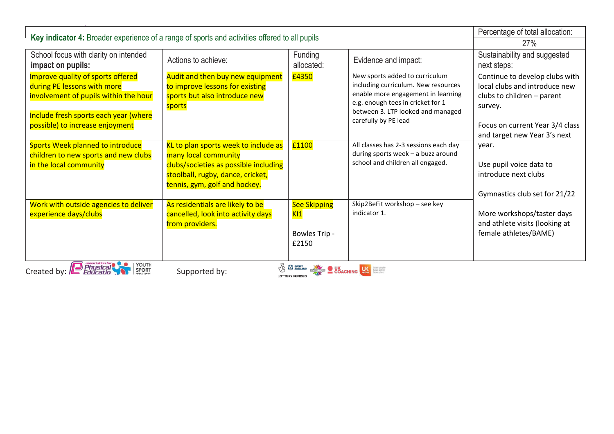| Key indicator 4: Broader experience of a range of sports and activities offered to all pupils                                                                                                                                                                                                          |                                                                                                                                                                             |                                                      |                                                                                                                                                                                                               | Percentage of total allocation:                                                                                                                                                    |
|--------------------------------------------------------------------------------------------------------------------------------------------------------------------------------------------------------------------------------------------------------------------------------------------------------|-----------------------------------------------------------------------------------------------------------------------------------------------------------------------------|------------------------------------------------------|---------------------------------------------------------------------------------------------------------------------------------------------------------------------------------------------------------------|------------------------------------------------------------------------------------------------------------------------------------------------------------------------------------|
|                                                                                                                                                                                                                                                                                                        |                                                                                                                                                                             |                                                      |                                                                                                                                                                                                               | <b>27%</b>                                                                                                                                                                         |
| School focus with clarity on intended<br>impact on pupils:                                                                                                                                                                                                                                             | Actions to achieve:                                                                                                                                                         | Funding<br>allocated:                                | Evidence and impact:                                                                                                                                                                                          | Sustainability and suggested<br>next steps:                                                                                                                                        |
| Improve quality of sports offered<br>during PE lessons with more<br>involvement of pupils within the hour<br>Include fresh sports each year (where<br>possible) to increase enjoyment                                                                                                                  | Audit and then buy new equipment<br>to improve lessons for existing<br>sports but also introduce new<br>sports                                                              | £4350                                                | New sports added to curriculum<br>including curriculum. New resources<br>enable more engagement in learning<br>e.g. enough tees in cricket for 1<br>between 3. LTP looked and managed<br>carefully by PE lead | Continue to develop clubs with<br>local clubs and introduce new<br>clubs to children - parent<br>survey.<br>Focus on current Year 3/4 class<br>and target new Year 3's next        |
| Sports Week planned to introduce<br>children to new sports and new clubs<br>in the local community                                                                                                                                                                                                     | KL to plan sports week to include as<br>many local community<br>clubs/societies as possible including<br>stoolball, rugby, dance, cricket,<br>tennis, gym, golf and hockey. | £1100                                                | All classes has 2-3 sessions each day<br>during sports week - a buzz around<br>school and children all engaged.                                                                                               | year.<br>Use pupil voice data to<br>introduce next clubs<br>Gymnastics club set for 21/22<br>More workshops/taster days<br>and athlete visits (looking at<br>female athletes/BAME) |
| Work with outside agencies to deliver<br>experience days/clubs                                                                                                                                                                                                                                         | As residentials are likely to be<br>cancelled, look into activity days<br>from providers.                                                                                   | <b>See Skipping</b><br>K11<br>Bowles Trip -<br>£2150 | Skip2BeFit workshop - see key<br>indicator 1.                                                                                                                                                                 |                                                                                                                                                                                    |
| Created by: <b>Prysical</b><br>YOUTH<br>SPORT<br><b>The SPORT OF SPORT OF SPORT OF SPORT OF SPORT OF SPORT OF SPORT OF SPORT OF SPORT OF SPORT OF SPORT OF SPORT OF SPORT OF SPORT OF SPORT OF SPORT OF SPORT OF SPORT OF SPORT OF SPORT OF SPORT OF SPORT OF SPORT OF SPORT OF S</b><br>Supported by: |                                                                                                                                                                             |                                                      |                                                                                                                                                                                                               |                                                                                                                                                                                    |